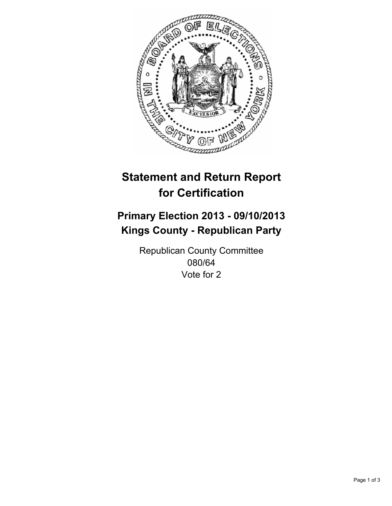

# **Statement and Return Report for Certification**

## **Primary Election 2013 - 09/10/2013 Kings County - Republican Party**

Republican County Committee 080/64 Vote for 2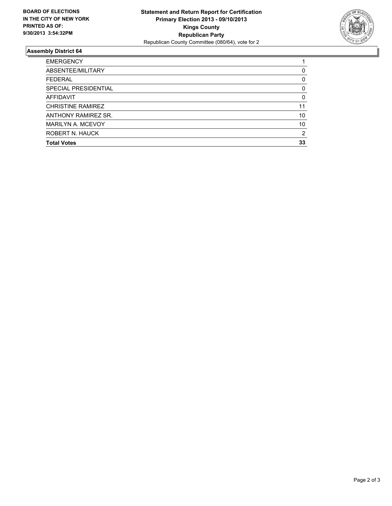

### **Assembly District 64**

| 0        |
|----------|
| 0        |
| 0        |
| $\Omega$ |
| 11       |
| 10       |
| 10       |
| 2        |
| 33       |
|          |